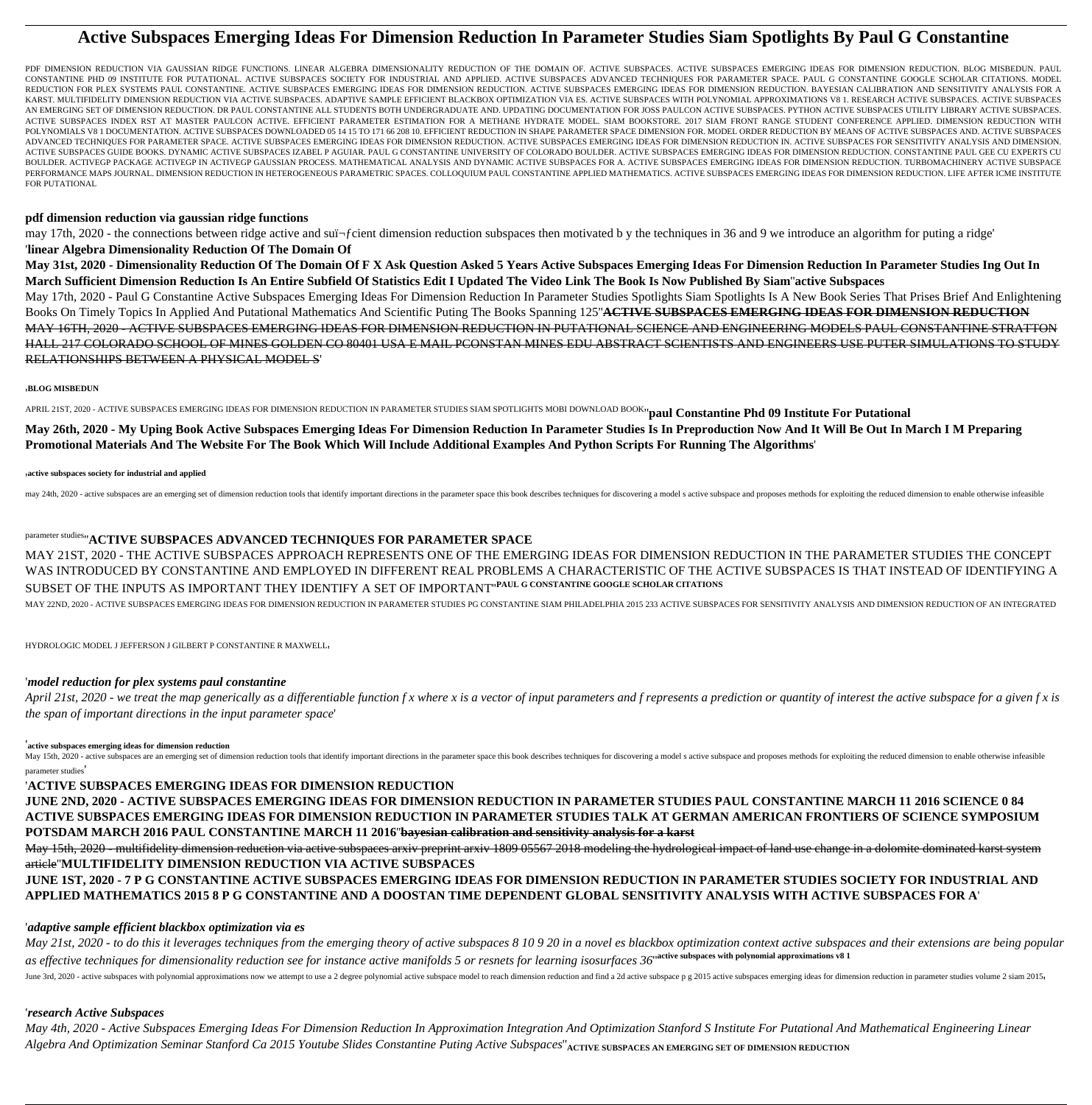# **Active Subspaces Emerging Ideas For Dimension Reduction In Parameter Studies Siam Spotlights By Paul G Constantine**

PDF DIMENSION REDUCTION VIA GAUSSIAN RIDGE FUNCTIONS. LINEAR ALGEBRA DIMENSIONALITY REDUCTION OF THE DOMAIN OF. ACTIVE SUBSPACES. ACTIVE SUBSPACES EMERGING IDEAS FOR DIMENSION REDUCTION. BLOG MISBEDUN. PAUL CONSTANTINE PHD 09 INSTITUTE FOR PUTATIONAL. ACTIVE SUBSPACES SOCIETY FOR INDUSTRIAL AND APPLIED. ACTIVE SUBSPACES ADVANCED TECHNIQUES FOR PARAMETER SPACE. PAUL G CONSTANTINE GOOGLE SCHOLAR CITATIONS. MODEL REDUCTION FOR PLEX SYSTEMS PAUL CONSTANTINE. ACTIVE SUBSPACES EMERGING IDEAS FOR DIMENSION IDEAS FOR DOMENSION DEDUCTION BAYESIAN CALIBRATION AND SENSITIVITY ANALYSIS FOR A KARST. MULTIFIDELITY DIMENSION REDUCTION VIA ACTIVE SUBSPACES. ADAPTIVE SAMPLE EFFICIENT BLACKBOX OPTIMIZATION VIA ES. ACTIVE SUBSPACES WITH POLYNOMIAL APPROXIMATIONS V8 1. RESEARCH ACTIVE SUBSPACES. ACTIVE SUBSPACES AN EMERGING SET OF DIMENSION REDUCTION. DR PAUL CONSTANTINE ALL STUDENTS BOTH UNDERGRADUATE AND. UPDATING DOCUMENTATION FOR JOSS PAULCON ACTIVE SUBSPACES. PYTHON ACTIVE SUBSPACES UTILITY LIBRARY ACTIVE SUBSPACES. ACTIVE SUBSPACES INDEX RST AT MASTER PAULCON ACTIVE. EFFICIENT PARAMETER ESTIMATION FOR A METHANE HYDRATE MODEL. SIAM BOOKSTORE. 2017 SIAM FRONT RANGE STUDENT CONFERENCE APPLIED. DIMENSION REDUCTION WITH POLYNOMIALS V8 1 DOCUMENTATION. ACTIVE SUBSPACES DOWNLOADED 05 14 15 TO 171 66 208 10. EFFICIENT REDUCTION IN SHAPE PARAMETER SPACE DIMENSION FOR. MODEL ORDER REDUCTION BY MEANS OF ACTIVE SUBSPACES AND. ACTIVE SUBSPACES ADVANCED TECHNIQUES FOR PARAMETER SPACE. ACTIVE SUBSPACES EMERGING IDEAS FOR DIMENSION REDUCTION. ACTIVE SUBSPACES EMERGING IDEAS FOR DIMENSION REDUCTION IN. ACTIVE SUBSPACES FOR SENSITIVITY ANALYSIS AND DIMENSION. ACTIVE SUBSPACES GUIDE BOOKS. DYNAMIC ACTIVE SUBSPACES IZABEL P AGUIAR. PAUL G CONSTANTINE UNIVERSITY OF COLORADO BOULDER. ACTIVE SUBSPACES EMERGING IDEAS FOR DIMENSION REDUCTION. CONSTANTINE PAUL GEE CU EXPERTS CU BOULDER. ACTIVEGP PACKAGE ACTIVEGP IN ACTIVEGP GAUSSIAN PROCESS. MATHEMATICAL ANALYSIS AND DYNAMIC ACTIVE SUBSPACES FOR A. ACTIVE SUBSPACES EMERGING IDEAS FOR DIMENSION REDUCTION. TURBOMACHINERY ACTIVE SUBSPACE PERFORMANCE MAPS JOURNAL. DIMENSION REDUCTION IN HETEROGENEOUS PARAMETRIC SPACES. COLLOQUIUM PAUL CONSTANTINE APPLIED MATHEMATICS. ACTIVE SUBSPACES EMERGING IDEAS FOR DIMENSION REDUCTION. LIFE AFTER ICME INSTITUTE FOR PUTATIONAL

### **pdf dimension reduction via gaussian ridge functions**

may 17th, 2020 - the connections between ridge active and suï-fcient dimension reduction subspaces then motivated b y the techniques in 36 and 9 we introduce an algorithm for puting a ridge'

### '**linear Algebra Dimensionality Reduction Of The Domain Of**

**May 31st, 2020 - Dimensionality Reduction Of The Domain Of F X Ask Question Asked 5 Years Active Subspaces Emerging Ideas For Dimension Reduction In Parameter Studies Ing Out In March Sufficient Dimension Reduction Is An Entire Subfield Of Statistics Edit I Updated The Video Link The Book Is Now Published By Siam**''**active Subspaces**

May 15th, 2020 - active subspaces are an emerging set of dimension reduction tools that identify important directions in the parameter space this book describes techniques for discovering a model s active subspace and prop parameter studies'

May 17th, 2020 - Paul G Constantine Active Subspaces Emerging Ideas For Dimension Reduction In Parameter Studies Spotlights Siam Spotlights Is A New Book Series That Prises Brief And Enlightening Books On Timely Topics In Applied And Putational Mathematics And Scientific Puting The Books Spanning 125''**ACTIVE SUBSPACES EMERGING IDEAS FOR DIMENSION REDUCTION** MAY 16TH, 2020 - ACTIVE SUBSPACES EMERGING IDEAS FOR DIMENSION REDUCTION IN PUTATIONAL SCIENCE AND ENGINEERING MODELS PAUL CONSTANTINE STRATTON HALL 217 COLORADO SCHOOL OF MINES GOLDEN CO 80401 USA E MAIL PCONSTAN MINES EDU ABSTRACT SCIENTISTS AND ENGINEERS USE PUTER SIMULATIONS TO STUDY RELATIONSHIPS BETWEEN A PHYSICAL MODEL S'

### '**BLOG MISBEDUN**

APRIL 21ST, 2020 - ACTIVE SUBSPACES EMERGING IDEAS FOR DIMENSION REDUCTION IN PARAMETER STUDIES SIAM SPOTLIGHTS MOBI DOWNLOAD BOOK''**paul Constantine Phd 09 Institute For Putational**

**May 26th, 2020 - My Uping Book Active Subspaces Emerging Ideas For Dimension Reduction In Parameter Studies Is In Preproduction Now And It Will Be Out In March I M Preparing Promotional Materials And The Website For The Book Which Will Include Additional Examples And Python Scripts For Running The Algorithms**'

#### '**active subspaces society for industrial and applied**

may 24th, 2020 - active subspaces are an emerging set of dimension reduction tools that identify important directions in the parameter space this book describes techniques for discovering a model s active subspace and prop

## parameter studies''**ACTIVE SUBSPACES ADVANCED TECHNIQUES FOR PARAMETER SPACE**

MAY 21ST, 2020 - THE ACTIVE SUBSPACES APPROACH REPRESENTS ONE OF THE EMERGING IDEAS FOR DIMENSION REDUCTION IN THE PARAMETER STUDIES THE CONCEPT WAS INTRODUCED BY CONSTANTINE AND EMPLOYED IN DIFFERENT REAL PROBLEMS A CHARACTERISTIC OF THE ACTIVE SUBSPACES IS THAT INSTEAD OF IDENTIFYING A SUBSET OF THE INPUTS AS IMPORTANT THEY IDENTIFY A SET OF IMPORTANT''**PAUL G CONSTANTINE GOOGLE SCHOLAR CITATIONS** MAY 22ND, 2020 - ACTIVE SUBSPACES EMERGING IDEAS FOR DIMENSION REDUCTION IN PARAMETER STUDIES PG CONSTANTINE SIAM PHILADELPHIA 2015 233 ACTIVE SUBSPACES FOR SENSITIVITY ANALYSIS AND DIMENSION REDUCTION OF AN INTEGRATED

HYDROLOGIC MODEL J JEFFERSON J GILBERT P CONSTANTINE R MAXWELL'

## '*model reduction for plex systems paul constantine*

*April 21st, 2020 - we treat the map generically as a differentiable function f x where x is a vector of input parameters and f represents a prediction or quantity of interest the active subspace for a given f x is the span of important directions in the input parameter space*'

### '**active subspaces emerging ideas for dimension reduction**

## '**ACTIVE SUBSPACES EMERGING IDEAS FOR DIMENSION REDUCTION**

**JUNE 2ND, 2020 - ACTIVE SUBSPACES EMERGING IDEAS FOR DIMENSION REDUCTION IN PARAMETER STUDIES PAUL CONSTANTINE MARCH 11 2016 SCIENCE 0 84**

## **ACTIVE SUBSPACES EMERGING IDEAS FOR DIMENSION REDUCTION IN PARAMETER STUDIES TALK AT GERMAN AMERICAN FRONTIERS OF SCIENCE SYMPOSIUM POTSDAM MARCH 2016 PAUL CONSTANTINE MARCH 11 2016**''**bayesian calibration and sensitivity analysis for a karst** May 15th, 2020 - multifidelity dimension reduction via active subspaces arxiv preprint arxiv 1809 05567 2018 modeling the hydrological impact of land use change in a dolomite dominated karst system article''**MULTIFIDELITY DIMENSION REDUCTION VIA ACTIVE SUBSPACES JUNE 1ST, 2020 - 7 P G CONSTANTINE ACTIVE SUBSPACES EMERGING IDEAS FOR DIMENSION REDUCTION IN PARAMETER STUDIES SOCIETY FOR INDUSTRIAL AND APPLIED MATHEMATICS 2015 8 P G CONSTANTINE AND A DOOSTAN TIME DEPENDENT GLOBAL SENSITIVITY ANALYSIS WITH ACTIVE SUBSPACES FOR A**'

### '*adaptive sample efficient blackbox optimization via es*

*May 21st, 2020 - to do this it leverages techniques from the emerging theory of active subspaces 8 10 9 20 in a novel es blackbox optimization context active subspaces and their extensions are being popular as effective techniques for dimensionality reduction see for instance active manifolds 5 or resnets for learning isosurfaces 36*''**active subspaces with polynomial approximations v8 1**

June 3rd, 2020 - active subspaces with polynomial approximations now we attempt to use a 2 degree polynomial active subspace model to reach dimension reduction and find a 2d active subspace p g 2015 active subspaces emergi

### '*research Active Subspaces*

*May 4th, 2020 - Active Subspaces Emerging Ideas For Dimension Reduction In Approximation Integration And Optimization Stanford S Institute For Putational And Mathematical Engineering Linear Algebra And Optimization Seminar Stanford Ca 2015 Youtube Slides Constantine Puting Active Subspaces*''**ACTIVE SUBSPACES AN EMERGING SET OF DIMENSION REDUCTION**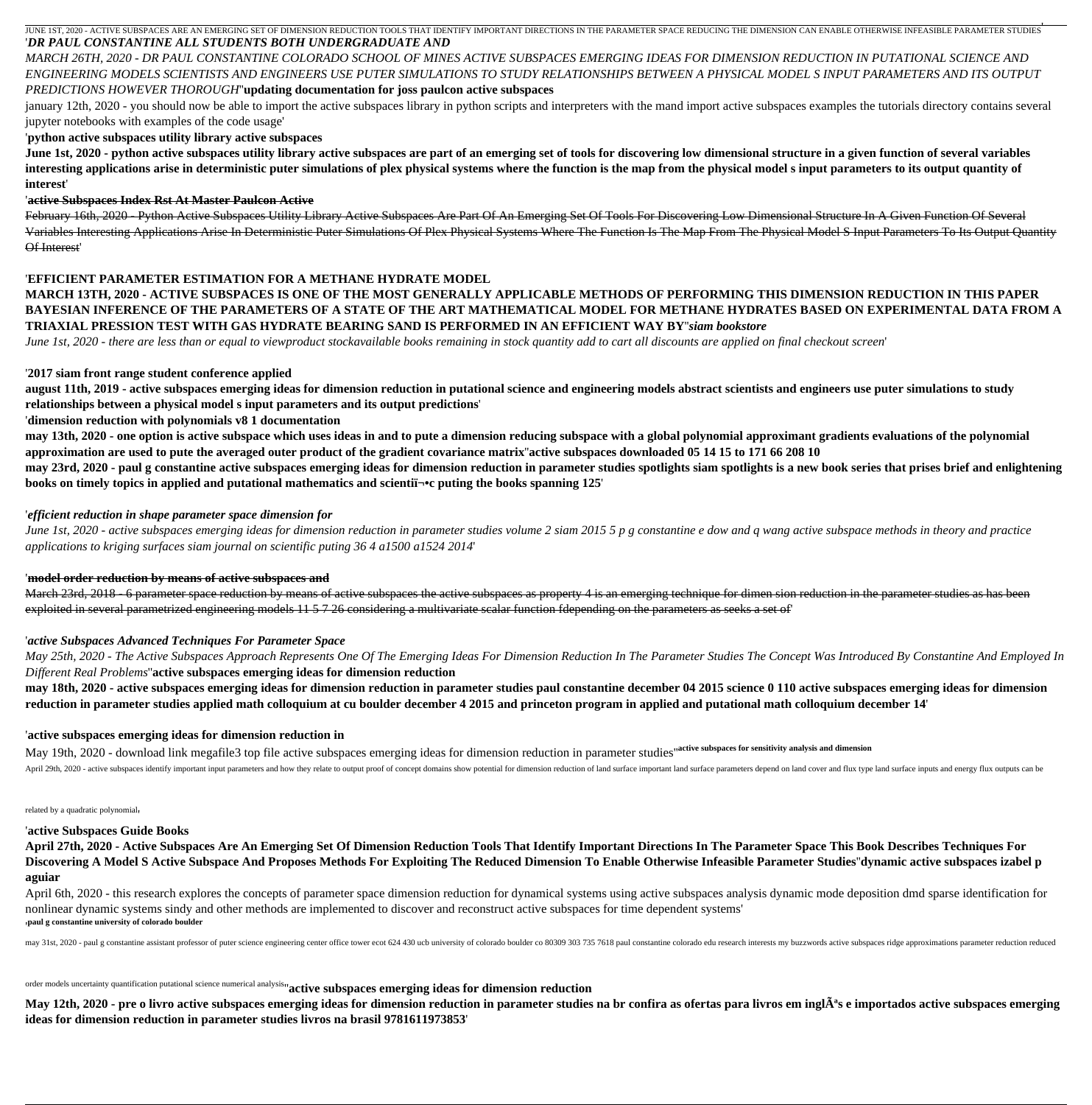JUNE 1ST, 2020 - ACTIVE SUBSPACES ARE AN EMERGING SET OF DIMENSION REDUCTION TOOLS THAT IDENTIFY IMPORTANT DIRECTIONS IN THE PARAMETER SPACE REDUCING THE DIMENSION CAN ENABLE OTHERWISE INFEASIBLE PARAMETER STUDIES '*DR PAUL CONSTANTINE ALL STUDENTS BOTH UNDERGRADUATE AND*

'

*MARCH 26TH, 2020 - DR PAUL CONSTANTINE COLORADO SCHOOL OF MINES ACTIVE SUBSPACES EMERGING IDEAS FOR DIMENSION REDUCTION IN PUTATIONAL SCIENCE AND ENGINEERING MODELS SCIENTISTS AND ENGINEERS USE PUTER SIMULATIONS TO STUDY RELATIONSHIPS BETWEEN A PHYSICAL MODEL S INPUT PARAMETERS AND ITS OUTPUT*

## *PREDICTIONS HOWEVER THOROUGH*''**updating documentation for joss paulcon active subspaces**

january 12th, 2020 - you should now be able to import the active subspaces library in python scripts and interpreters with the mand import active subspaces examples the tutorials directory contains several jupyter notebooks with examples of the code usage'

## '**python active subspaces utility library active subspaces**

**June 1st, 2020 - python active subspaces utility library active subspaces are part of an emerging set of tools for discovering low dimensional structure in a given function of several variables interesting applications arise in deterministic puter simulations of plex physical systems where the function is the map from the physical model s input parameters to its output quantity of interest**'

## '**active Subspaces Index Rst At Master Paulcon Active**

**may 23rd, 2020 - paul g constantine active subspaces emerging ideas for dimension reduction in parameter studies spotlights siam spotlights is a new book series that prises brief and enlightening books on timely topics in applied and putational mathematics and scientiﬕc puting the books spanning 125'** 

February 16th, 2020 - Python Active Subspaces Utility Library Active Subspaces Are Part Of An Emerging Set Of Tools For Discovering Low Dimensional Structure In A Given Function Of Several Variables Interesting Applications Arise In Deterministic Puter Simulations Of Plex Physical Systems Where The Function Is The Map From The Physical Model S Input Parameters To Its Output Quantity Of Interest'

## '**EFFICIENT PARAMETER ESTIMATION FOR A METHANE HYDRATE MODEL**

**MARCH 13TH, 2020 - ACTIVE SUBSPACES IS ONE OF THE MOST GENERALLY APPLICABLE METHODS OF PERFORMING THIS DIMENSION REDUCTION IN THIS PAPER BAYESIAN INFERENCE OF THE PARAMETERS OF A STATE OF THE ART MATHEMATICAL MODEL FOR METHANE HYDRATES BASED ON EXPERIMENTAL DATA FROM A TRIAXIAL PRESSION TEST WITH GAS HYDRATE BEARING SAND IS PERFORMED IN AN EFFICIENT WAY BY**''*siam bookstore*

March 23rd, 2018 - 6 parameter space reduction by means of active subspaces as a property 4 is an emerging technique for dimen sion reduction in the parameter studies as has been exploited in several parametrized engineering models 11 5 7 26 considering a multivariate scalar function fdepending on the parameters as seeks a set of'

*June 1st, 2020 - there are less than or equal to viewproduct stockavailable books remaining in stock quantity add to cart all discounts are applied on final checkout screen*'

'**2017 siam front range student conference applied**

May 19th, 2020 - download link megafile3 top file active subspaces emerging ideas for dimension reduction in parameter studies''**active subspaces for sensitivity analysis and dimension** April 29th, 2020 - active subspaces identify important input parameters and how they relate to output proof of concept domains show potential for dimension reduction of land surface important land surface parameters depend

**august 11th, 2019 - active subspaces emerging ideas for dimension reduction in putational science and engineering models abstract scientists and engineers use puter simulations to study relationships between a physical model s input parameters and its output predictions**'

'**dimension reduction with polynomials v8 1 documentation**

**may 13th, 2020 - one option is active subspace which uses ideas in and to pute a dimension reducing subspace with a global polynomial approximant gradients evaluations of the polynomial approximation are used to pute the averaged outer product of the gradient covariance matrix**''**active subspaces downloaded 05 14 15 to 171 66 208 10**

April 6th, 2020 - this research explores the concepts of parameter space dimension reduction for dynamical systems using active subspaces analysis dynamic mode deposition dmd sparse identification for nonlinear dynamic systems sindy and other methods are implemented to discover and reconstruct active subspaces for time dependent systems' '**paul g constantine university of colorado boulder**

may 31st, 2020 - paul g constantine assistant professor of puter science engineering center office tower ecot 624 430 ucb university of colorado boulder co 80309 303 735 7618 paul constantine colorado edu research interest

## '*efficient reduction in shape parameter space dimension for*

May 12th, 2020 - pre o livro active subspaces emerging ideas for dimension reduction in parameter studies na br confira as ofertas para livros em inglÂ<sup>a</sup>s e importados active subspaces emerging **ideas for dimension reduction in parameter studies livros na brasil 9781611973853**'

*June 1st, 2020 - active subspaces emerging ideas for dimension reduction in parameter studies volume 2 siam 2015 5 p g constantine e dow and q wang active subspace methods in theory and practice applications to kriging surfaces siam journal on scientific puting 36 4 a1500 a1524 2014*'

## '**model order reduction by means of active subspaces and**

## '*active Subspaces Advanced Techniques For Parameter Space*

*May 25th, 2020 - The Active Subspaces Approach Represents One Of The Emerging Ideas For Dimension Reduction In The Parameter Studies The Concept Was Introduced By Constantine And Employed In Different Real Problems*''**active subspaces emerging ideas for dimension reduction**

**may 18th, 2020 - active subspaces emerging ideas for dimension reduction in parameter studies paul constantine december 04 2015 science 0 110 active subspaces emerging ideas for dimension reduction in parameter studies applied math colloquium at cu boulder december 4 2015 and princeton program in applied and putational math colloquium december 14**'

## '**active subspaces emerging ideas for dimension reduction in**

related by a quadratic polynomial'

### '**active Subspaces Guide Books**

**April 27th, 2020 - Active Subspaces Are An Emerging Set Of Dimension Reduction Tools That Identify Important Directions In The Parameter Space This Book Describes Techniques For Discovering A Model S Active Subspace And Proposes Methods For Exploiting The Reduced Dimension To Enable Otherwise Infeasible Parameter Studies**''**dynamic active subspaces izabel p aguiar**

order models uncertainty quantification putational science numerical analysis''**active subspaces emerging ideas for dimension reduction**